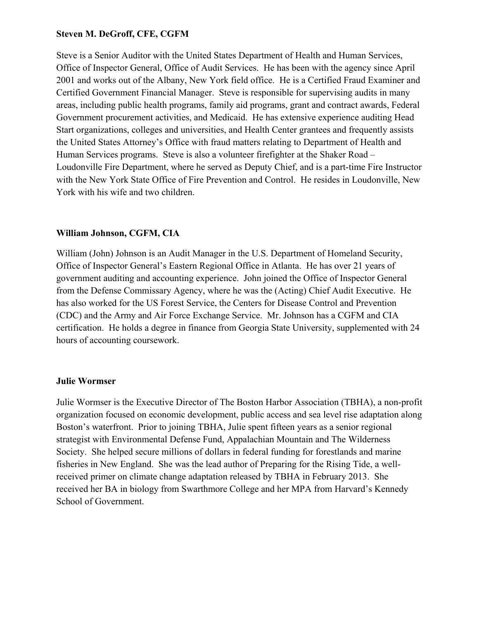## **Steven M. DeGroff, CFE, CGFM**

Steve is a Senior Auditor with the United States Department of Health and Human Services, Office of Inspector General, Office of Audit Services. He has been with the agency since April 2001 and works out of the Albany, New York field office. He is a Certified Fraud Examiner and Certified Government Financial Manager. Steve is responsible for supervising audits in many areas, including public health programs, family aid programs, grant and contract awards, Federal Government procurement activities, and Medicaid. He has extensive experience auditing Head Start organizations, colleges and universities, and Health Center grantees and frequently assists the United States Attorney's Office with fraud matters relating to Department of Health and Human Services programs. Steve is also a volunteer firefighter at the Shaker Road – Loudonville Fire Department, where he served as Deputy Chief, and is a part-time Fire Instructor with the New York State Office of Fire Prevention and Control. He resides in Loudonville, New York with his wife and two children.

# **William Johnson, CGFM, CIA**

William (John) Johnson is an Audit Manager in the U.S. Department of Homeland Security, Office of Inspector General's Eastern Regional Office in Atlanta. He has over 21 years of government auditing and accounting experience. John joined the Office of Inspector General from the Defense Commissary Agency, where he was the (Acting) Chief Audit Executive. He has also worked for the US Forest Service, the Centers for Disease Control and Prevention (CDC) and the Army and Air Force Exchange Service. Mr. Johnson has a CGFM and CIA certification. He holds a degree in finance from Georgia State University, supplemented with 24 hours of accounting coursework.

## **Julie Wormser**

Julie Wormser is the Executive Director of The Boston Harbor Association (TBHA), a non-profit organization focused on economic development, public access and sea level rise adaptation along Boston's waterfront. Prior to joining TBHA, Julie spent fifteen years as a senior regional strategist with Environmental Defense Fund, Appalachian Mountain and The Wilderness Society. She helped secure millions of dollars in federal funding for forestlands and marine fisheries in New England. She was the lead author of Preparing for the Rising Tide, a wellreceived primer on climate change adaptation released by TBHA in February 2013. She received her BA in biology from Swarthmore College and her MPA from Harvard's Kennedy School of Government.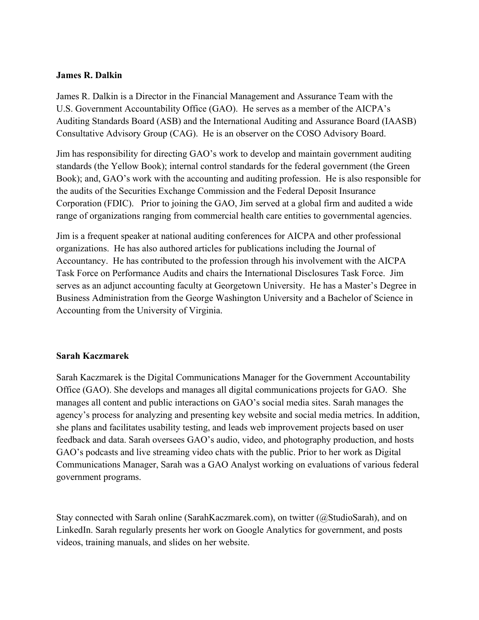#### **James R. Dalkin**

James R. Dalkin is a Director in the Financial Management and Assurance Team with the U.S. Government Accountability Office (GAO). He serves as a member of the AICPA's Auditing Standards Board (ASB) and the International Auditing and Assurance Board (IAASB) Consultative Advisory Group (CAG). He is an observer on the COSO Advisory Board.

Jim has responsibility for directing GAO's work to develop and maintain government auditing standards (the Yellow Book); internal control standards for the federal government (the Green Book); and, GAO's work with the accounting and auditing profession. He is also responsible for the audits of the Securities Exchange Commission and the Federal Deposit Insurance Corporation (FDIC). Prior to joining the GAO, Jim served at a global firm and audited a wide range of organizations ranging from commercial health care entities to governmental agencies.

Jim is a frequent speaker at national auditing conferences for AICPA and other professional organizations. He has also authored articles for publications including the Journal of Accountancy. He has contributed to the profession through his involvement with the AICPA Task Force on Performance Audits and chairs the International Disclosures Task Force. Jim serves as an adjunct accounting faculty at Georgetown University. He has a Master's Degree in Business Administration from the George Washington University and a Bachelor of Science in Accounting from the University of Virginia.

### **Sarah Kaczmarek**

Sarah Kaczmarek is the Digital Communications Manager for the Government Accountability Office (GAO). She develops and manages all digital communications projects for GAO. She manages all content and public interactions on GAO's social media sites. Sarah manages the agency's process for analyzing and presenting key website and social media metrics. In addition, she plans and facilitates usability testing, and leads web improvement projects based on user feedback and data. Sarah oversees GAO's audio, video, and photography production, and hosts GAO's podcasts and live streaming video chats with the public. Prior to her work as Digital Communications Manager, Sarah was a GAO Analyst working on evaluations of various federal government programs.

Stay connected with Sarah online (SarahKaczmarek.com), on twitter (@StudioSarah), and on LinkedIn. Sarah regularly presents her work on Google Analytics for government, and posts videos, training manuals, and slides on her website.